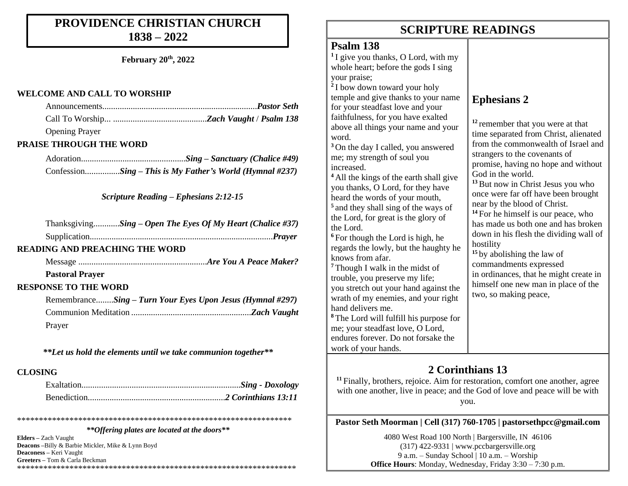## **PROVIDENCE CHRISTIAN CHURCH 1838 – 2022**

**February 20th, 2022**

### **WELCOME AND CALL TO WORSHIP**

| <b>Opening Prayer</b>                                      |
|------------------------------------------------------------|
| <b>PRAISE THROUGH THE WORD</b>                             |
|                                                            |
| ConfessionSing - This is My Father's World (Hymnal #237)   |
| <b>Scripture Reading – Ephesians 2:12-15</b>               |
| ThanksgivingSing – Open The Eyes Of My Heart (Chalice #37) |
|                                                            |
| <b>READING AND PREACHING THE WORD</b>                      |
|                                                            |
| <b>Pastoral Prayer</b>                                     |
| <b>RESPONSE TO THE WORD</b>                                |
| RemembranceSing - Turn Your Eyes Upon Jesus (Hymnal #297)  |
|                                                            |
| Prayer                                                     |
|                                                            |

*\*\*Let us hold the elements until we take communion together\*\**

## **CLOSING**

*\*\*Offering plates are located at the doors\*\**

\*\*\*\*\*\*\*\*\*\*\*\*\*\*\*\*\*\*\*\*\*\*\*\*\*\*\*\*\*\*\*\*\*\*\*\*\*\*\*\*\*\*\*\*\*\*\*\*\*\*\*\*\*\*\*\*\*\*\*\*\*\*\*

**Elders –** Zach Vaught **Deacons –**Billy & Barbie Mickler, Mike & Lynn Boyd **Deaconess –** Keri Vaught **Greeters –** Tom & Carla Beckman \*\*\*\*\*\*\*\*\*\*\*\*\*\*\*\*\*\*\*\*\*\*\*\*\*\*\*\*\*\*\*\*\*\*\*\*\*\*\*\*\*\*\*\*\*\*\*\*\*\*\*\*\*\*\*\*\*\*\*\*\*\*\*\*

## **SCRIPTURE READINGS SCRIPTURE READINGS**

## **Psalm 138**

**1** I give you thanks, O Lord, with my whole heart; before the gods I sing your praise; **2** I bow down toward your holy temple and give thanks to your name for your steadfast love and your faithfulness. above all thin word. <sup>3</sup> On the day me; my stren increased. <sup>4</sup> All the king you thanks. heard the word **5** and they shall sing of the ways of the Lord, for the Lord.  $6$  For though regards the low knows from <sup>7</sup> Though I w trouble, you you stretch o wrath of my hand delivers <sup>8</sup> The Lord w

me; your stea endures fore<sup>v</sup> work of your hands.

## **Ephesians 2**

| for you have exalted<br>ngs your name and your<br>I called, you answered<br>igth of soul you                                                                                                                                                                        | <sup>12</sup> remember that you were at that<br>time separated from Christ, alienated<br>from the commonwealth of Israel and<br>strangers to the covenants of<br>promise, having no hope and without<br>God in the world.<br><sup>13</sup> But now in Christ Jesus you who<br>once were far off have been brought<br>near by the blood of Christ.<br><sup>14</sup> For he himself is our peace, who<br>has made us both one and has broken |  |
|---------------------------------------------------------------------------------------------------------------------------------------------------------------------------------------------------------------------------------------------------------------------|--------------------------------------------------------------------------------------------------------------------------------------------------------------------------------------------------------------------------------------------------------------------------------------------------------------------------------------------------------------------------------------------------------------------------------------------|--|
| s of the earth shall give<br>O Lord, for they have<br>rds of your mouth,<br>all sing of the ways of<br>great is the glory of                                                                                                                                        |                                                                                                                                                                                                                                                                                                                                                                                                                                            |  |
| the Lord is high, he<br>owly, but the haughty he<br>afar.<br>alk in the midst of<br>preserve my life;<br>out your hand against the<br>enemies, and your right<br>s me.<br>ill fulfill his purpose for<br>adfast love, O Lord,<br>ver. Do not forsake the<br>r honde | down in his flesh the dividing wall of<br>hostility<br><sup>15</sup> by abolishing the law of<br>commandments expressed<br>in ordinances, that he might create in<br>himself one new man in place of the<br>two, so making peace,                                                                                                                                                                                                          |  |

## **2 Corinthians 13**

**<sup>11</sup>** Finally, brothers, rejoice. Aim for restoration, comfort one another, agree with one another, live in peace; and the God of love and peace will be with you.

**Pastor Seth Moorman | Cell (317) 760-1705 | pastorsethpcc@gmail.com**

4080 West Road 100 North | Bargersville, IN 46106 (317) 422-9331 | www.pccbargersville.org 9 a.m. – Sunday School | 10 a.m. – Worship **Office Hours**: Monday, Wednesday, Friday 3:30 – 7:30 p.m.